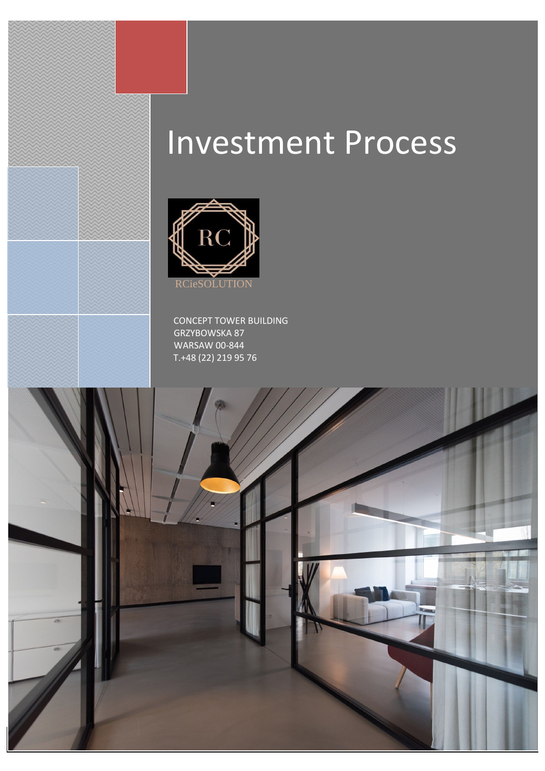# Investment Process



 CONCEPT TOWER BUILDING GRZYBOWSKA 87 WARSAW 00-844 T.+48 (22) 219 95 76

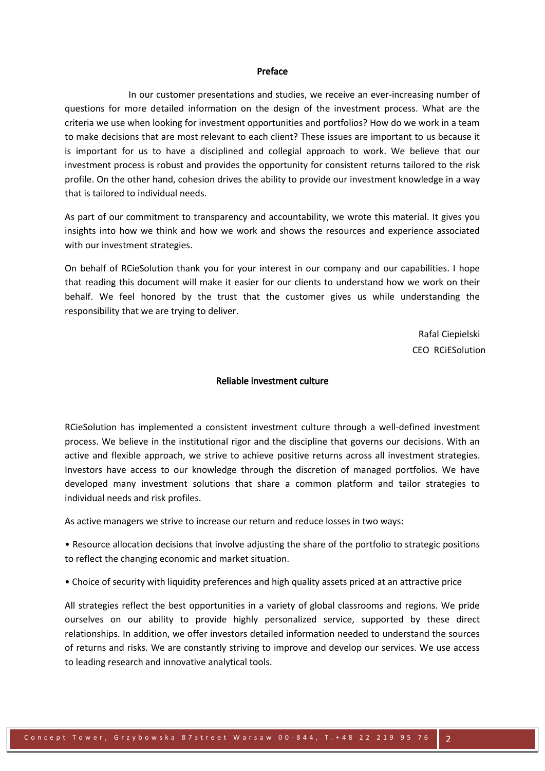#### Preface

 In our customer presentations and studies, we receive an ever-increasing number of questions for more detailed information on the design of the investment process. What are the criteria we use when looking for investment opportunities and portfolios? How do we work in a team to make decisions that are most relevant to each client? These issues are important to us because it is important for us to have a disciplined and collegial approach to work. We believe that our investment process is robust and provides the opportunity for consistent returns tailored to the risk profile. On the other hand, cohesion drives the ability to provide our investment knowledge in a way that is tailored to individual needs.

As part of our commitment to transparency and accountability, we wrote this material. It gives you insights into how we think and how we work and shows the resources and experience associated with our investment strategies.

On behalf of RCieSolution thank you for your interest in our company and our capabilities. I hope that reading this document will make it easier for our clients to understand how we work on their behalf. We feel honored by the trust that the customer gives us while understanding the responsibility that we are trying to deliver.

> Rafal Ciepielski CEO RCiESolution

# Reliable investment culture

RCieSolution has implemented a consistent investment culture through a well-defined investment process. We believe in the institutional rigor and the discipline that governs our decisions. With an active and flexible approach, we strive to achieve positive returns across all investment strategies. Investors have access to our knowledge through the discretion of managed portfolios. We have developed many investment solutions that share a common platform and tailor strategies to individual needs and risk profiles.

As active managers we strive to increase our return and reduce losses in two ways:

• Resource allocation decisions that involve adjusting the share of the portfolio to strategic positions to reflect the changing economic and market situation.

• Choice of security with liquidity preferences and high quality assets priced at an attractive price

All strategies reflect the best opportunities in a variety of global classrooms and regions. We pride ourselves on our ability to provide highly personalized service, supported by these direct relationships. In addition, we offer investors detailed information needed to understand the sources of returns and risks. We are constantly striving to improve and develop our services. We use access to leading research and innovative analytical tools.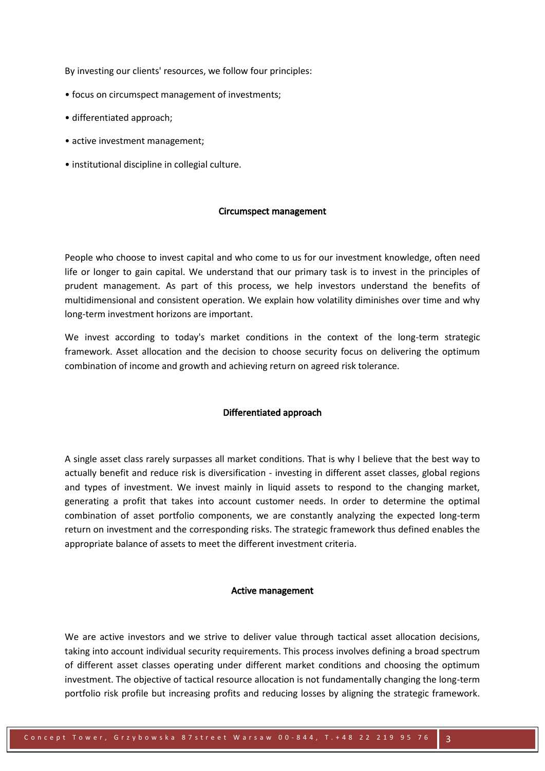By investing our clients' resources, we follow four principles:

- focus on circumspect management of investments;
- differentiated approach;
- active investment management;
- institutional discipline in collegial culture.

### Circumspect management

People who choose to invest capital and who come to us for our investment knowledge, often need life or longer to gain capital. We understand that our primary task is to invest in the principles of prudent management. As part of this process, we help investors understand the benefits of multidimensional and consistent operation. We explain how volatility diminishes over time and why long-term investment horizons are important.

We invest according to today's market conditions in the context of the long-term strategic framework. Asset allocation and the decision to choose security focus on delivering the optimum combination of income and growth and achieving return on agreed risk tolerance.

### Differentiated approach

A single asset class rarely surpasses all market conditions. That is why I believe that the best way to actually benefit and reduce risk is diversification - investing in different asset classes, global regions and types of investment. We invest mainly in liquid assets to respond to the changing market, generating a profit that takes into account customer needs. In order to determine the optimal combination of asset portfolio components, we are constantly analyzing the expected long-term return on investment and the corresponding risks. The strategic framework thus defined enables the appropriate balance of assets to meet the different investment criteria.

#### Active management

We are active investors and we strive to deliver value through tactical asset allocation decisions, taking into account individual security requirements. This process involves defining a broad spectrum of different asset classes operating under different market conditions and choosing the optimum investment. The objective of tactical resource allocation is not fundamentally changing the long-term portfolio risk profile but increasing profits and reducing losses by aligning the strategic framework.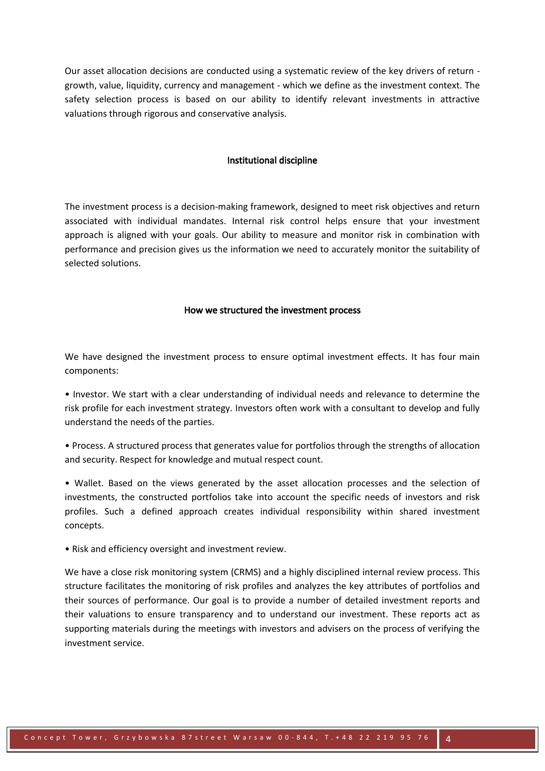Our asset allocation decisions are conducted using a systematic review of the key drivers of return growth, value, liquidity, currency and management - which we define as the investment context. The safety selection process is based on our ability to identify relevant investments in attractive valuations through rigorous and conservative analysis.

# Institutional discipline

The investment process is a decision-making framework, designed to meet risk objectives and return associated with individual mandates. Internal risk control helps ensure that your investment approach is aligned with your goals. Our ability to measure and monitor risk in combination with performance and precision gives us the information we need to accurately monitor the suitability of selected solutions.

# How we structured the investment process

We have designed the investment process to ensure optimal investment effects. It has four main components:

• Investor. We start with a clear understanding of individual needs and relevance to determine the risk profile for each investment strategy. Investors often work with a consultant to develop and fully understand the needs of the parties.

• Process. A structured process that generates value for portfolios through the strengths of allocation and security. Respect for knowledge and mutual respect count.

• Wallet. Based on the views generated by the asset allocation processes and the selection of investments, the constructed portfolios take into account the specific needs of investors and risk profiles. Such a defined approach creates individual responsibility within shared investment concepts.

• Risk and efficiency oversight and investment review.

We have a close risk monitoring system (CRMS) and a highly disciplined internal review process. This structure facilitates the monitoring of risk profiles and analyzes the key attributes of portfolios and their sources of performance. Our goal is to provide a number of detailed investment reports and their valuations to ensure transparency and to understand our investment. These reports act as supporting materials during the meetings with investors and advisers on the process of verifying the investment service.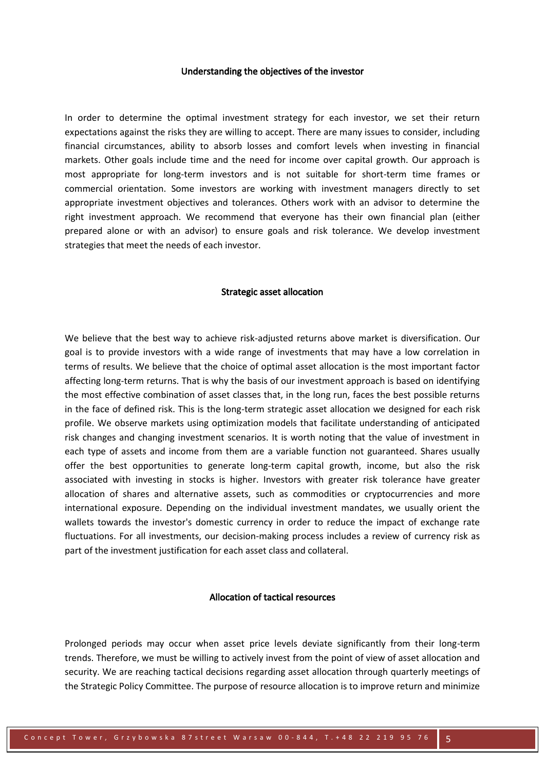### Understanding the objectives of the investor

In order to determine the optimal investment strategy for each investor, we set their return expectations against the risks they are willing to accept. There are many issues to consider, including financial circumstances, ability to absorb losses and comfort levels when investing in financial markets. Other goals include time and the need for income over capital growth. Our approach is most appropriate for long-term investors and is not suitable for short-term time frames or commercial orientation. Some investors are working with investment managers directly to set appropriate investment objectives and tolerances. Others work with an advisor to determine the right investment approach. We recommend that everyone has their own financial plan (either prepared alone or with an advisor) to ensure goals and risk tolerance. We develop investment strategies that meet the needs of each investor.

# Strategic asset allocation

We believe that the best way to achieve risk-adjusted returns above market is diversification. Our goal is to provide investors with a wide range of investments that may have a low correlation in terms of results. We believe that the choice of optimal asset allocation is the most important factor affecting long-term returns. That is why the basis of our investment approach is based on identifying the most effective combination of asset classes that, in the long run, faces the best possible returns in the face of defined risk. This is the long-term strategic asset allocation we designed for each risk profile. We observe markets using optimization models that facilitate understanding of anticipated risk changes and changing investment scenarios. It is worth noting that the value of investment in each type of assets and income from them are a variable function not guaranteed. Shares usually offer the best opportunities to generate long-term capital growth, income, but also the risk associated with investing in stocks is higher. Investors with greater risk tolerance have greater allocation of shares and alternative assets, such as commodities or cryptocurrencies and more international exposure. Depending on the individual investment mandates, we usually orient the wallets towards the investor's domestic currency in order to reduce the impact of exchange rate fluctuations. For all investments, our decision-making process includes a review of currency risk as part of the investment justification for each asset class and collateral.

# Allocation of tactical resources

Prolonged periods may occur when asset price levels deviate significantly from their long-term trends. Therefore, we must be willing to actively invest from the point of view of asset allocation and security. We are reaching tactical decisions regarding asset allocation through quarterly meetings of the Strategic Policy Committee. The purpose of resource allocation is to improve return and minimize